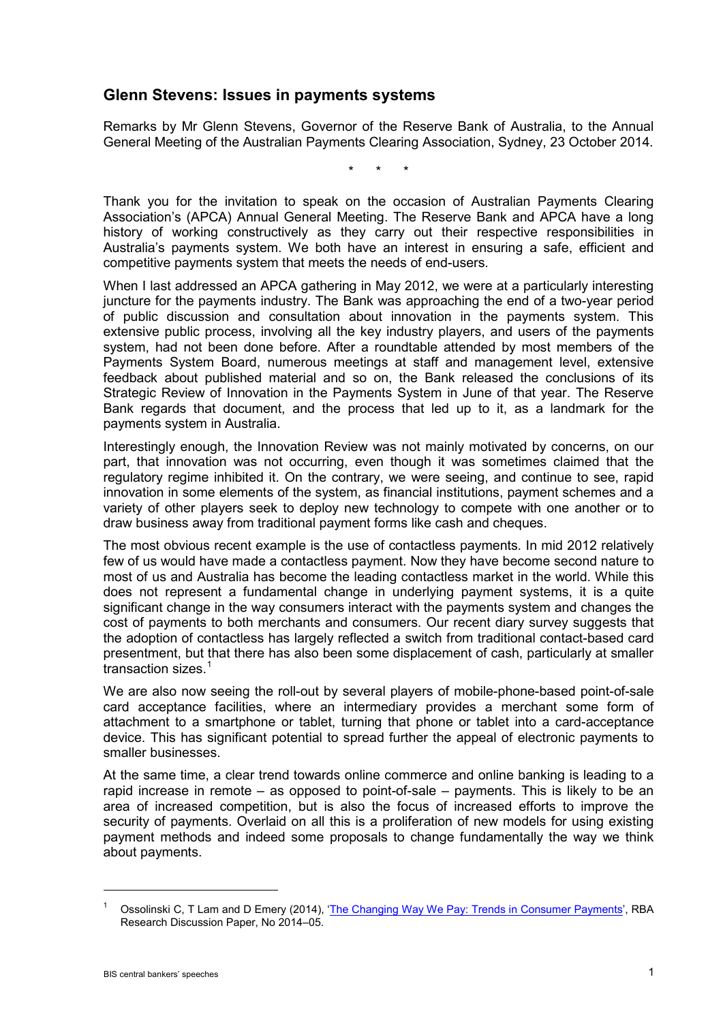## **Glenn Stevens: Issues in payments systems**

Remarks by Mr Glenn Stevens, Governor of the Reserve Bank of Australia, to the Annual General Meeting of the Australian Payments Clearing Association, Sydney, 23 October 2014.

\* \* \*

Thank you for the invitation to speak on the occasion of Australian Payments Clearing Association's (APCA) Annual General Meeting. The Reserve Bank and APCA have a long history of working constructively as they carry out their respective responsibilities in Australia's payments system. We both have an interest in ensuring a safe, efficient and competitive payments system that meets the needs of end-users.

When I last addressed an APCA gathering in May 2012, we were at a particularly interesting juncture for the payments industry. The Bank was approaching the end of a two-year period of public discussion and consultation about innovation in the payments system. This extensive public process, involving all the key industry players, and users of the payments system, had not been done before. After a roundtable attended by most members of the Payments System Board, numerous meetings at staff and management level, extensive feedback about published material and so on, the Bank released the conclusions of its Strategic Review of Innovation in the Payments System in June of that year. The Reserve Bank regards that document, and the process that led up to it, as a landmark for the payments system in Australia.

Interestingly enough, the Innovation Review was not mainly motivated by concerns, on our part, that innovation was not occurring, even though it was sometimes claimed that the regulatory regime inhibited it. On the contrary, we were seeing, and continue to see, rapid innovation in some elements of the system, as financial institutions, payment schemes and a variety of other players seek to deploy new technology to compete with one another or to draw business away from traditional payment forms like cash and cheques.

The most obvious recent example is the use of contactless payments. In mid 2012 relatively few of us would have made a contactless payment. Now they have become second nature to most of us and Australia has become the leading contactless market in the world. While this does not represent a fundamental change in underlying payment systems, it is a quite significant change in the way consumers interact with the payments system and changes the cost of payments to both merchants and consumers. Our recent diary survey suggests that the adoption of contactless has largely reflected a switch from traditional contact-based card presentment, but that there has also been some displacement of cash, particularly at smaller transaction sizes.<sup>[1](#page-0-0)</sup>

We are also now seeing the roll-out by several players of mobile-phone-based point-of-sale card acceptance facilities, where an intermediary provides a merchant some form of attachment to a smartphone or tablet, turning that phone or tablet into a card-acceptance device. This has significant potential to spread further the appeal of electronic payments to smaller businesses.

At the same time, a clear trend towards online commerce and online banking is leading to a rapid increase in remote – as opposed to point-of-sale – payments. This is likely to be an area of increased competition, but is also the focus of increased efforts to improve the security of payments. Overlaid on all this is a proliferation of new models for using existing payment methods and indeed some proposals to change fundamentally the way we think about payments.

-

<span id="page-0-0"></span>Ossolinski C, T Lam and D Emery (2014), ['The Changing Way We Pay: Trends in Consumer Payments'](http://www.rba.gov.au/publications/rdp/2014/2014-05.html), RBA Research Discussion Paper, No 2014–05.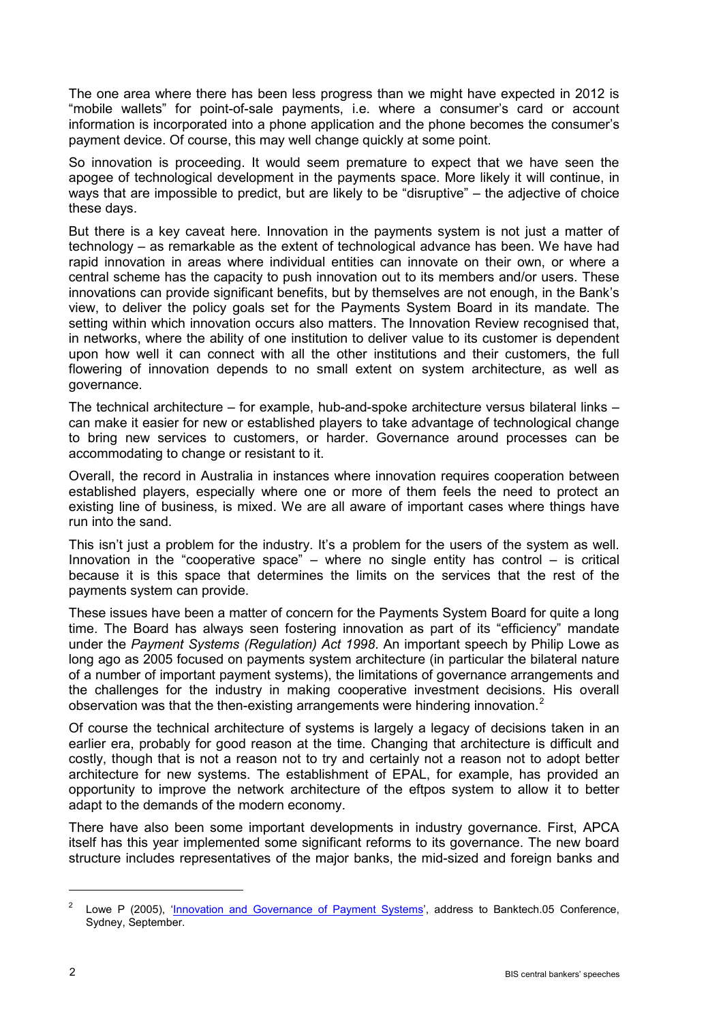The one area where there has been less progress than we might have expected in 2012 is "mobile wallets" for point-of-sale payments, i.e. where a consumer's card or account information is incorporated into a phone application and the phone becomes the consumer's payment device. Of course, this may well change quickly at some point.

So innovation is proceeding. It would seem premature to expect that we have seen the apogee of technological development in the payments space. More likely it will continue, in ways that are impossible to predict, but are likely to be "disruptive" – the adjective of choice these days.

But there is a key caveat here. Innovation in the payments system is not just a matter of technology – as remarkable as the extent of technological advance has been. We have had rapid innovation in areas where individual entities can innovate on their own, or where a central scheme has the capacity to push innovation out to its members and/or users. These innovations can provide significant benefits, but by themselves are not enough, in the Bank's view, to deliver the policy goals set for the Payments System Board in its mandate. The setting within which innovation occurs also matters. The Innovation Review recognised that, in networks, where the ability of one institution to deliver value to its customer is dependent upon how well it can connect with all the other institutions and their customers, the full flowering of innovation depends to no small extent on system architecture, as well as governance.

The technical architecture – for example, hub-and-spoke architecture versus bilateral links – can make it easier for new or established players to take advantage of technological change to bring new services to customers, or harder. Governance around processes can be accommodating to change or resistant to it.

Overall, the record in Australia in instances where innovation requires cooperation between established players, especially where one or more of them feels the need to protect an existing line of business, is mixed. We are all aware of important cases where things have run into the sand.

This isn't just a problem for the industry. It's a problem for the users of the system as well. Innovation in the "cooperative space" – where no single entity has control – is critical because it is this space that determines the limits on the services that the rest of the payments system can provide.

These issues have been a matter of concern for the Payments System Board for quite a long time. The Board has always seen fostering innovation as part of its "efficiency" mandate under the *Payment Systems (Regulation) Act 1998*. An important speech by Philip Lowe as long ago as 2005 focused on payments system architecture (in particular the bilateral nature of a number of important payment systems), the limitations of governance arrangements and the challenges for the industry in making cooperative investment decisions. His overall observation was that the then-existing arrangements were hindering innovation.<sup>[2](#page-1-0)</sup>

Of course the technical architecture of systems is largely a legacy of decisions taken in an earlier era, probably for good reason at the time. Changing that architecture is difficult and costly, though that is not a reason not to try and certainly not a reason not to adopt better architecture for new systems. The establishment of EPAL, for example, has provided an opportunity to improve the network architecture of the eftpos system to allow it to better adapt to the demands of the modern economy.

There have also been some important developments in industry governance. First, APCA itself has this year implemented some significant reforms to its governance. The new board structure includes representatives of the major banks, the mid-sized and foreign banks and

-

<span id="page-1-0"></span>Lowe P (2005), ['Innovation and Governance of Payment Systems',](http://www.rba.gov.au/speeches/2005/sp-ag-160905.html) address to Banktech.05 Conference, Sydney, September.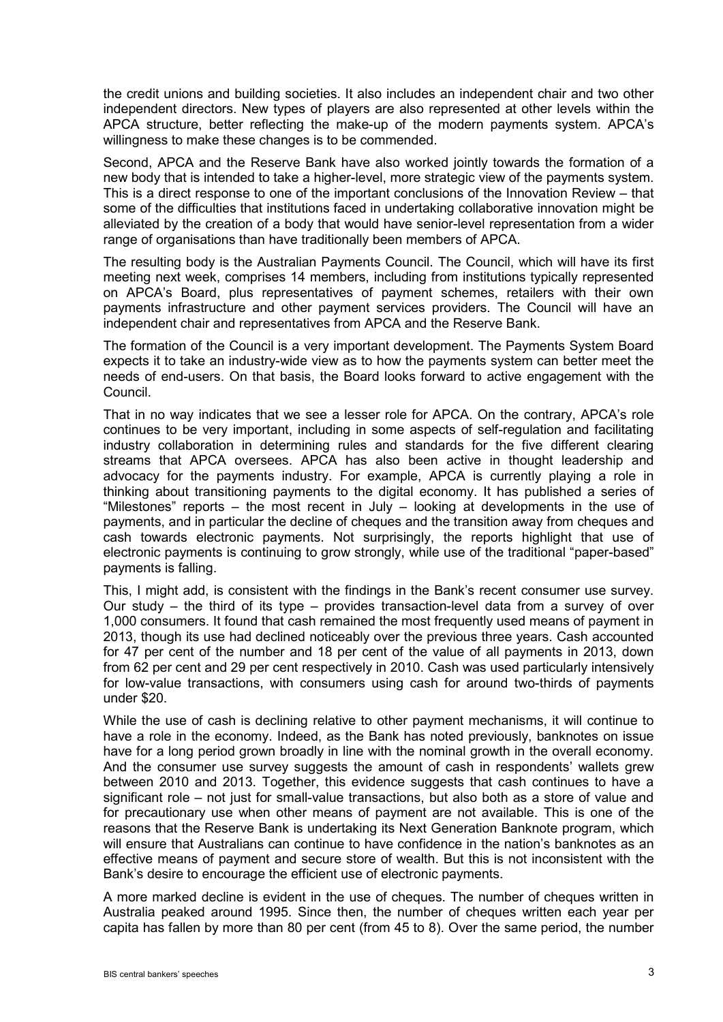the credit unions and building societies. It also includes an independent chair and two other independent directors. New types of players are also represented at other levels within the APCA structure, better reflecting the make-up of the modern payments system. APCA's willingness to make these changes is to be commended.

Second, APCA and the Reserve Bank have also worked jointly towards the formation of a new body that is intended to take a higher-level, more strategic view of the payments system. This is a direct response to one of the important conclusions of the Innovation Review – that some of the difficulties that institutions faced in undertaking collaborative innovation might be alleviated by the creation of a body that would have senior-level representation from a wider range of organisations than have traditionally been members of APCA.

The resulting body is the Australian Payments Council. The Council, which will have its first meeting next week, comprises 14 members, including from institutions typically represented on APCA's Board, plus representatives of payment schemes, retailers with their own payments infrastructure and other payment services providers. The Council will have an independent chair and representatives from APCA and the Reserve Bank.

The formation of the Council is a very important development. The Payments System Board expects it to take an industry-wide view as to how the payments system can better meet the needs of end-users. On that basis, the Board looks forward to active engagement with the Council.

That in no way indicates that we see a lesser role for APCA. On the contrary, APCA's role continues to be very important, including in some aspects of self-regulation and facilitating industry collaboration in determining rules and standards for the five different clearing streams that APCA oversees. APCA has also been active in thought leadership and advocacy for the payments industry. For example, APCA is currently playing a role in thinking about transitioning payments to the digital economy. It has published a series of "Milestones" reports – the most recent in July – looking at developments in the use of payments, and in particular the decline of cheques and the transition away from cheques and cash towards electronic payments. Not surprisingly, the reports highlight that use of electronic payments is continuing to grow strongly, while use of the traditional "paper-based" payments is falling.

This, I might add, is consistent with the findings in the Bank's recent consumer use survey. Our study – the third of its type – provides transaction-level data from a survey of over 1,000 consumers. It found that cash remained the most frequently used means of payment in 2013, though its use had declined noticeably over the previous three years. Cash accounted for 47 per cent of the number and 18 per cent of the value of all payments in 2013, down from 62 per cent and 29 per cent respectively in 2010. Cash was used particularly intensively for low-value transactions, with consumers using cash for around two-thirds of payments under \$20.

While the use of cash is declining relative to other payment mechanisms, it will continue to have a role in the economy. Indeed, as the Bank has noted previously, banknotes on issue have for a long period grown broadly in line with the nominal growth in the overall economy. And the consumer use survey suggests the amount of cash in respondents' wallets grew between 2010 and 2013. Together, this evidence suggests that cash continues to have a significant role – not just for small-value transactions, but also both as a store of value and for precautionary use when other means of payment are not available. This is one of the reasons that the Reserve Bank is undertaking its Next Generation Banknote program, which will ensure that Australians can continue to have confidence in the nation's banknotes as an effective means of payment and secure store of wealth. But this is not inconsistent with the Bank's desire to encourage the efficient use of electronic payments.

A more marked decline is evident in the use of cheques. The number of cheques written in Australia peaked around 1995. Since then, the number of cheques written each year per capita has fallen by more than 80 per cent (from 45 to 8). Over the same period, the number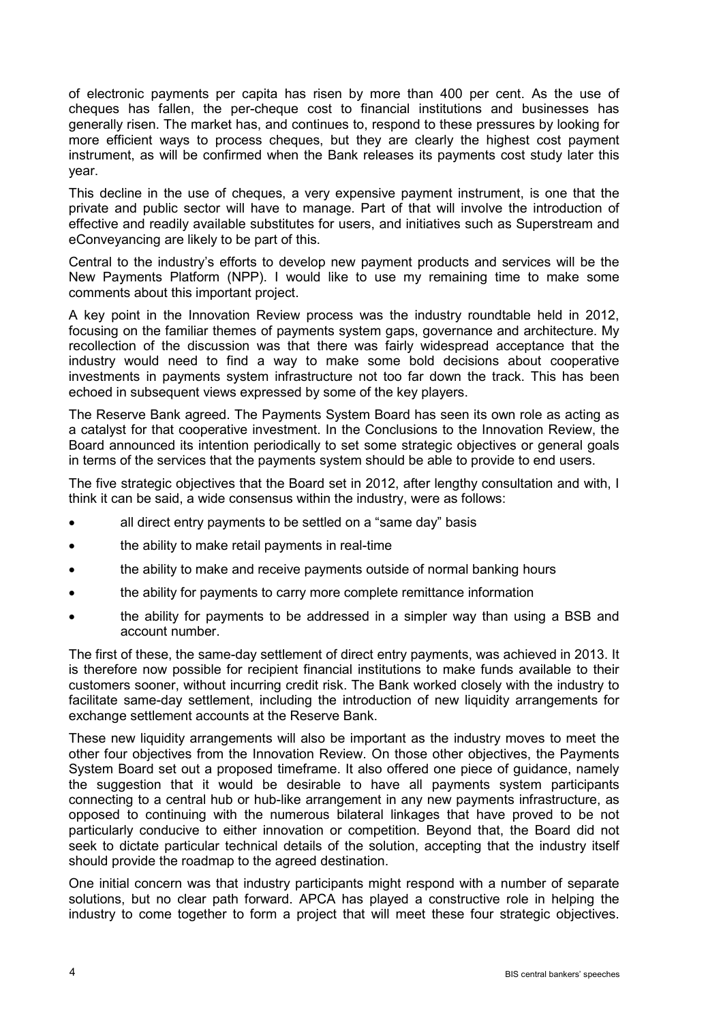of electronic payments per capita has risen by more than 400 per cent. As the use of cheques has fallen, the per-cheque cost to financial institutions and businesses has generally risen. The market has, and continues to, respond to these pressures by looking for more efficient ways to process cheques, but they are clearly the highest cost payment instrument, as will be confirmed when the Bank releases its payments cost study later this year.

This decline in the use of cheques, a very expensive payment instrument, is one that the private and public sector will have to manage. Part of that will involve the introduction of effective and readily available substitutes for users, and initiatives such as Superstream and eConveyancing are likely to be part of this.

Central to the industry's efforts to develop new payment products and services will be the New Payments Platform (NPP). I would like to use my remaining time to make some comments about this important project.

A key point in the Innovation Review process was the industry roundtable held in 2012, focusing on the familiar themes of payments system gaps, governance and architecture. My recollection of the discussion was that there was fairly widespread acceptance that the industry would need to find a way to make some bold decisions about cooperative investments in payments system infrastructure not too far down the track. This has been echoed in subsequent views expressed by some of the key players.

The Reserve Bank agreed. The Payments System Board has seen its own role as acting as a catalyst for that cooperative investment. In the Conclusions to the Innovation Review, the Board announced its intention periodically to set some strategic objectives or general goals in terms of the services that the payments system should be able to provide to end users.

The five strategic objectives that the Board set in 2012, after lengthy consultation and with, I think it can be said, a wide consensus within the industry, were as follows:

- all direct entry payments to be settled on a "same day" basis
- the ability to make retail payments in real-time
- the ability to make and receive payments outside of normal banking hours
- the ability for payments to carry more complete remittance information
- the ability for payments to be addressed in a simpler way than using a BSB and account number.

The first of these, the same-day settlement of direct entry payments, was achieved in 2013. It is therefore now possible for recipient financial institutions to make funds available to their customers sooner, without incurring credit risk. The Bank worked closely with the industry to facilitate same-day settlement, including the introduction of new liquidity arrangements for exchange settlement accounts at the Reserve Bank.

These new liquidity arrangements will also be important as the industry moves to meet the other four objectives from the Innovation Review. On those other objectives, the Payments System Board set out a proposed timeframe. It also offered one piece of guidance, namely the suggestion that it would be desirable to have all payments system participants connecting to a central hub or hub-like arrangement in any new payments infrastructure, as opposed to continuing with the numerous bilateral linkages that have proved to be not particularly conducive to either innovation or competition. Beyond that, the Board did not seek to dictate particular technical details of the solution, accepting that the industry itself should provide the roadmap to the agreed destination.

One initial concern was that industry participants might respond with a number of separate solutions, but no clear path forward. APCA has played a constructive role in helping the industry to come together to form a project that will meet these four strategic objectives.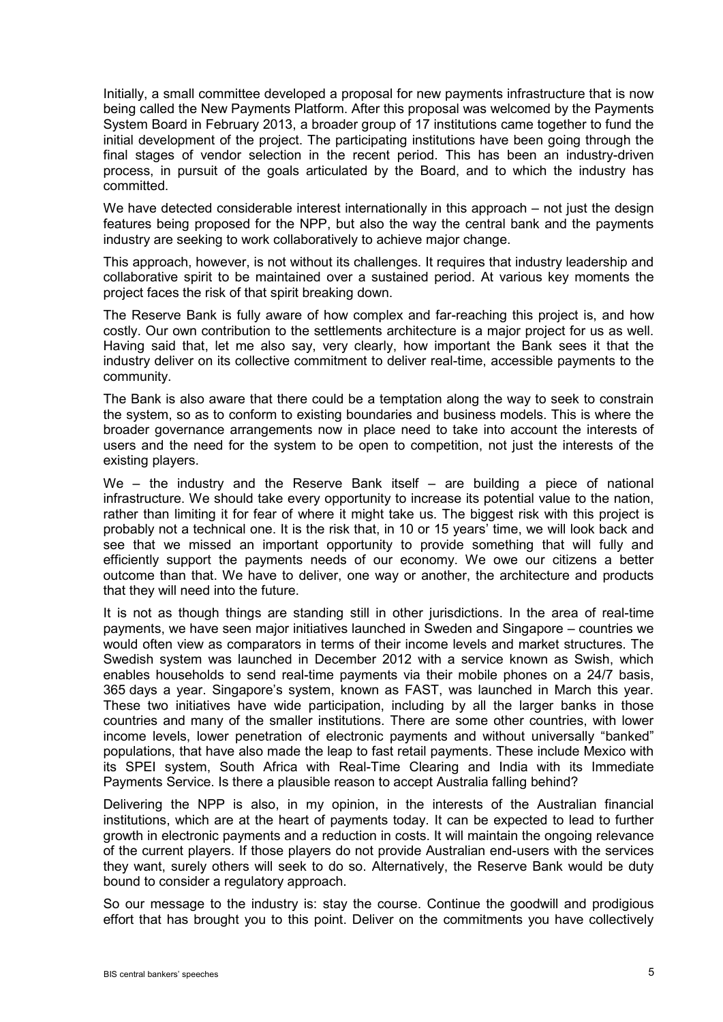Initially, a small committee developed a proposal for new payments infrastructure that is now being called the New Payments Platform. After this proposal was welcomed by the Payments System Board in February 2013, a broader group of 17 institutions came together to fund the initial development of the project. The participating institutions have been going through the final stages of vendor selection in the recent period. This has been an industry-driven process, in pursuit of the goals articulated by the Board, and to which the industry has committed.

We have detected considerable interest internationally in this approach – not just the design features being proposed for the NPP, but also the way the central bank and the payments industry are seeking to work collaboratively to achieve major change.

This approach, however, is not without its challenges. It requires that industry leadership and collaborative spirit to be maintained over a sustained period. At various key moments the project faces the risk of that spirit breaking down.

The Reserve Bank is fully aware of how complex and far-reaching this project is, and how costly. Our own contribution to the settlements architecture is a major project for us as well. Having said that, let me also say, very clearly, how important the Bank sees it that the industry deliver on its collective commitment to deliver real-time, accessible payments to the community.

The Bank is also aware that there could be a temptation along the way to seek to constrain the system, so as to conform to existing boundaries and business models. This is where the broader governance arrangements now in place need to take into account the interests of users and the need for the system to be open to competition, not just the interests of the existing players.

We – the industry and the Reserve Bank itself – are building a piece of national infrastructure. We should take every opportunity to increase its potential value to the nation, rather than limiting it for fear of where it might take us. The biggest risk with this project is probably not a technical one. It is the risk that, in 10 or 15 years' time, we will look back and see that we missed an important opportunity to provide something that will fully and efficiently support the payments needs of our economy. We owe our citizens a better outcome than that. We have to deliver, one way or another, the architecture and products that they will need into the future.

It is not as though things are standing still in other jurisdictions. In the area of real-time payments, we have seen major initiatives launched in Sweden and Singapore – countries we would often view as comparators in terms of their income levels and market structures. The Swedish system was launched in December 2012 with a service known as Swish, which enables households to send real-time payments via their mobile phones on a 24/7 basis, 365 days a year. Singapore's system, known as FAST, was launched in March this year. These two initiatives have wide participation, including by all the larger banks in those countries and many of the smaller institutions. There are some other countries, with lower income levels, lower penetration of electronic payments and without universally "banked" populations, that have also made the leap to fast retail payments. These include Mexico with its SPEI system, South Africa with Real-Time Clearing and India with its Immediate Payments Service. Is there a plausible reason to accept Australia falling behind?

Delivering the NPP is also, in my opinion, in the interests of the Australian financial institutions, which are at the heart of payments today. It can be expected to lead to further growth in electronic payments and a reduction in costs. It will maintain the ongoing relevance of the current players. If those players do not provide Australian end-users with the services they want, surely others will seek to do so. Alternatively, the Reserve Bank would be duty bound to consider a regulatory approach.

So our message to the industry is: stay the course. Continue the goodwill and prodigious effort that has brought you to this point. Deliver on the commitments you have collectively